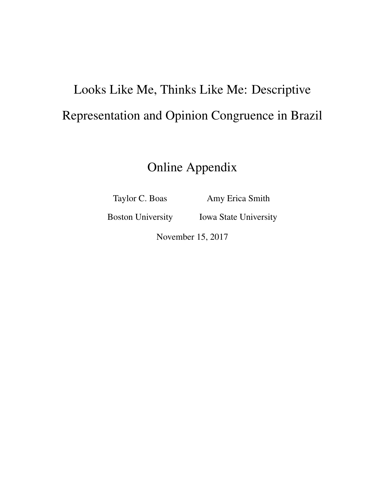# Looks Like Me, Thinks Like Me: Descriptive Representation and Opinion Congruence in Brazil

Online Appendix

Taylor C. Boas

Amy Erica Smith

Boston University

Iowa State University

November 15, 2017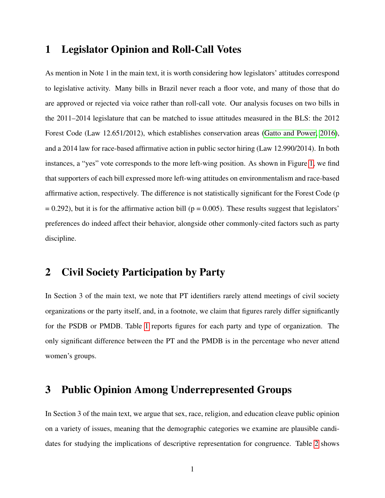#### 1 Legislator Opinion and Roll-Call Votes

As mention in Note 1 in the main text, it is worth considering how legislators' attitudes correspond to legislative activity. Many bills in Brazil never reach a floor vote, and many of those that do are approved or rejected via voice rather than roll-call vote. Our analysis focuses on two bills in the 2011–2014 legislature that can be matched to issue attitudes measured in the BLS: the 2012 Forest Code (Law 12.651/2012), which establishes conservation areas [\(Gatto and Power, 2016\)](#page-38-0), and a 2014 law for race-based affirmative action in public sector hiring (Law 12.990/2014). In both instances, a "yes" vote corresponds to the more left-wing position. As shown in Figure [1,](#page-13-0) we find that supporters of each bill expressed more left-wing attitudes on environmentalism and race-based affirmative action, respectively. The difference is not statistically significant for the Forest Code (p  $= 0.292$ ), but it is for the affirmative action bill ( $p = 0.005$ ). These results suggest that legislators' preferences do indeed affect their behavior, alongside other commonly-cited factors such as party discipline.

## 2 Civil Society Participation by Party

In Section 3 of the main text, we note that PT identifiers rarely attend meetings of civil society organizations or the party itself, and, in a footnote, we claim that figures rarely differ significantly for the PSDB or PMDB. Table [1](#page-14-0) reports figures for each party and type of organization. The only significant difference between the PT and the PMDB is in the percentage who never attend women's groups.

#### 3 Public Opinion Among Underrepresented Groups

In Section 3 of the main text, we argue that sex, race, religion, and education cleave public opinion on a variety of issues, meaning that the demographic categories we examine are plausible candidates for studying the implications of descriptive representation for congruence. Table [2](#page-15-0) shows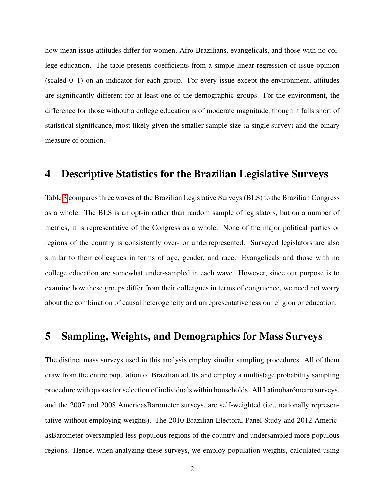how mean issue attitudes differ for women, Afro-Brazilians, evangelicals, and those with no college education. The table presents coefficients from a simple linear regression of issue opinion (scaled 0–1) on an indicator for each group. For every issue except the environment, attitudes are significantly different for at least one of the demographic groups. For the environment, the difference for those without a college education is of moderate magnitude, though it falls short of statistical significance, most likely given the smaller sample size (a single survey) and the binary measure of opinion.

#### 4 Descriptive Statistics for the Brazilian Legislative Surveys

Table [3](#page-16-0) compares three waves of the Brazilian Legislative Surveys (BLS) to the Brazilian Congress as a whole. The BLS is an opt-in rather than random sample of legislators, but on a number of metrics, it is representative of the Congress as a whole. None of the major political parties or regions of the country is consistently over- or underrepresented. Surveyed legislators are also similar to their colleagues in terms of age, gender, and race. Evangelicals and those with no college education are somewhat under-sampled in each wave. However, since our purpose is to examine how these groups differ from their colleagues in terms of congruence, we need not worry about the combination of causal heterogeneity and unrepresentativeness on religion or education.

#### <span id="page-2-0"></span>5 Sampling, Weights, and Demographics for Mass Surveys

The distinct mass surveys used in this analysis employ similar sampling procedures. All of them draw from the entire population of Brazilian adults and employ a multistage probability sampling procedure with quotas for selection of individuals within households. All Latinobarómetro surveys, and the 2007 and 2008 AmericasBarometer surveys, are self-weighted (i.e., nationally representative without employing weights). The 2010 Brazilian Electoral Panel Study and 2012 AmericasBarometer oversampled less populous regions of the country and undersampled more populous regions. Hence, when analyzing these surveys, we employ population weights, calculated using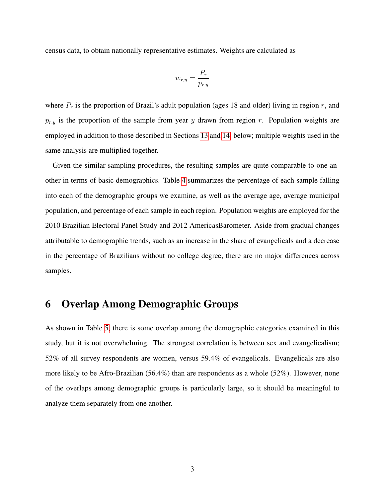census data, to obtain nationally representative estimates. Weights are calculated as

$$
w_{r,y} = \frac{P_r}{p_{r,y}}
$$

where  $P_r$  is the proportion of Brazil's adult population (ages 18 and older) living in region r, and  $p_{r,y}$  is the proportion of the sample from year y drawn from region r. Population weights are employed in addition to those described in Sections [13](#page-6-0) and [14,](#page-8-0) below; multiple weights used in the same analysis are multiplied together.

Given the similar sampling procedures, the resulting samples are quite comparable to one another in terms of basic demographics. Table [4](#page-17-0) summarizes the percentage of each sample falling into each of the demographic groups we examine, as well as the average age, average municipal population, and percentage of each sample in each region. Population weights are employed for the 2010 Brazilian Electoral Panel Study and 2012 AmericasBarometer. Aside from gradual changes attributable to demographic trends, such as an increase in the share of evangelicals and a decrease in the percentage of Brazilians without no college degree, there are no major differences across samples.

#### 6 Overlap Among Demographic Groups

As shown in Table [5,](#page-18-0) there is some overlap among the demographic categories examined in this study, but it is not overwhelming. The strongest correlation is between sex and evangelicalism; 52% of all survey respondents are women, versus 59.4% of evangelicals. Evangelicals are also more likely to be Afro-Brazilian (56.4%) than are respondents as a whole (52%). However, none of the overlaps among demographic groups is particularly large, so it should be meaningful to analyze them separately from one another.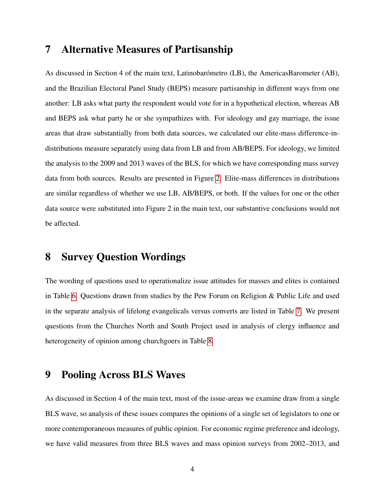#### 7 Alternative Measures of Partisanship

As discussed in Section 4 of the main text, Latinobarómetro (LB), the AmericasBarometer (AB), and the Brazilian Electoral Panel Study (BEPS) measure partisanship in different ways from one another: LB asks what party the respondent would vote for in a hypothetical election, whereas AB and BEPS ask what party he or she sympathizes with. For ideology and gay marriage, the issue areas that draw substantially from both data sources, we calculated our elite-mass difference-indistributions measure separately using data from LB and from AB/BEPS. For ideology, we limited the analysis to the 2009 and 2013 waves of the BLS, for which we have corresponding mass survey data from both sources. Results are presented in Figure [2.](#page-19-0) Elite-mass differences in distributions are similar regardless of whether we use LB, AB/BEPS, or both. If the values for one or the other data source were substituted into Figure 2 in the main text, our substantive conclusions would not be affected.

#### 8 Survey Question Wordings

The wording of questions used to operationalize issue attitudes for masses and elites is contained in Table [6.](#page-20-0) Questions drawn from studies by the Pew Forum on Religion & Public Life and used in the separate analysis of lifelong evangelicals versus converts are listed in Table [7.](#page-22-0) We present questions from the Churches North and South Project used in analysis of clergy influence and heterogeneity of opinion among churchgoers in Table [8.](#page-23-0)

#### 9 Pooling Across BLS Waves

As discussed in Section 4 of the main text, most of the issue-areas we examine draw from a single BLS wave, so analysis of these issues compares the opinions of a single set of legislators to one or more contemporaneous measures of public opinion. For economic regime preference and ideology, we have valid measures from three BLS waves and mass opinion surveys from 2002–2013, and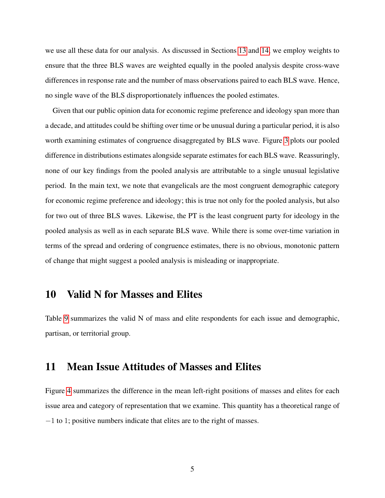we use all these data for our analysis. As discussed in Sections [13](#page-6-0) and [14,](#page-8-0) we employ weights to ensure that the three BLS waves are weighted equally in the pooled analysis despite cross-wave differences in response rate and the number of mass observations paired to each BLS wave. Hence, no single wave of the BLS disproportionately influences the pooled estimates.

Given that our public opinion data for economic regime preference and ideology span more than a decade, and attitudes could be shifting over time or be unusual during a particular period, it is also worth examining estimates of congruence disaggregated by BLS wave. Figure [3](#page-24-0) plots our pooled difference in distributions estimates alongside separate estimates for each BLS wave. Reassuringly, none of our key findings from the pooled analysis are attributable to a single unusual legislative period. In the main text, we note that evangelicals are the most congruent demographic category for economic regime preference and ideology; this is true not only for the pooled analysis, but also for two out of three BLS waves. Likewise, the PT is the least congruent party for ideology in the pooled analysis as well as in each separate BLS wave. While there is some over-time variation in terms of the spread and ordering of congruence estimates, there is no obvious, monotonic pattern of change that might suggest a pooled analysis is misleading or inappropriate.

#### 10 Valid N for Masses and Elites

Table [9](#page-25-0) summarizes the valid N of mass and elite respondents for each issue and demographic, partisan, or territorial group.

#### 11 Mean Issue Attitudes of Masses and Elites

Figure [4](#page-26-0) summarizes the difference in the mean left-right positions of masses and elites for each issue area and category of representation that we examine. This quantity has a theoretical range of −1 to 1; positive numbers indicate that elites are to the right of masses.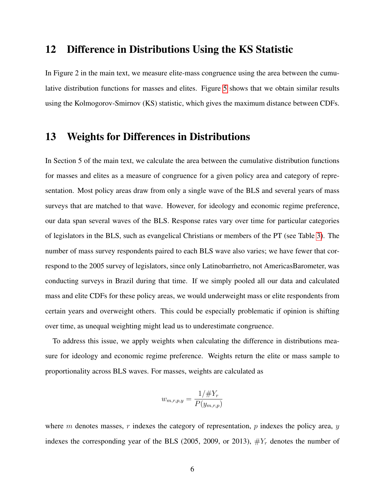#### 12 Difference in Distributions Using the KS Statistic

In Figure 2 in the main text, we measure elite-mass congruence using the area between the cumulative distribution functions for masses and elites. Figure [5](#page-27-0) shows that we obtain similar results using the Kolmogorov-Smirnov (KS) statistic, which gives the maximum distance between CDFs.

#### <span id="page-6-0"></span>13 Weights for Differences in Distributions

In Section 5 of the main text, we calculate the area between the cumulative distribution functions for masses and elites as a measure of congruence for a given policy area and category of representation. Most policy areas draw from only a single wave of the BLS and several years of mass surveys that are matched to that wave. However, for ideology and economic regime preference, our data span several waves of the BLS. Response rates vary over time for particular categories of legislators in the BLS, such as evangelical Christians or members of the PT (see Table [3\)](#page-16-0). The number of mass survey respondents paired to each BLS wave also varies; we have fewer that correspond to the 2005 survey of legislators, since only Latinobarmetro, not AmericasBarometer, was conducting surveys in Brazil during that time. If we simply pooled all our data and calculated mass and elite CDFs for these policy areas, we would underweight mass or elite respondents from certain years and overweight others. This could be especially problematic if opinion is shifting over time, as unequal weighting might lead us to underestimate congruence.

To address this issue, we apply weights when calculating the difference in distributions measure for ideology and economic regime preference. Weights return the elite or mass sample to proportionality across BLS waves. For masses, weights are calculated as

$$
w_{m,r,p,y} = \frac{1/\#Y_r}{P(y_{m,r,p})}
$$

where m denotes masses, r indexes the category of representation, p indexes the policy area,  $y$ indexes the corresponding year of the BLS (2005, 2009, or 2013),  $\#Y_r$  denotes the number of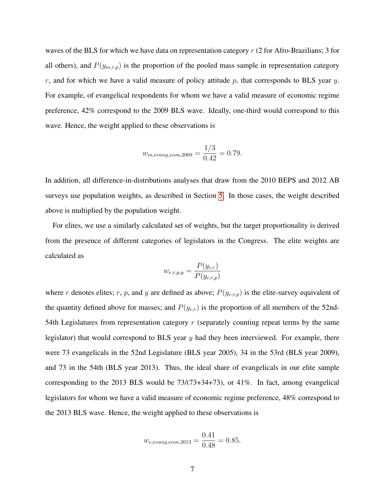waves of the BLS for which we have data on representation category  $r(2)$  for Afro-Brazilians; 3 for all others), and  $P(y_{m,r,p})$  is the proportion of the pooled mass sample in representation category r, and for which we have a valid measure of policy attitude  $p$ , that corresponds to BLS year  $y$ . For example, of evangelical respondents for whom we have a valid measure of economic regime preference, 42% correspond to the 2009 BLS wave. Ideally, one-third would correspond to this wave. Hence, the weight applied to these observations is

$$
w_{m,evang, econ, 2009} = \frac{1/3}{0.42} = 0.79.
$$

In addition, all difference-in-distributions analyses that draw from the 2010 BEPS and 2012 AB surveys use population weights, as described in Section [5.](#page-2-0) In those cases, the weight described above is multiplied by the population weight.

For elites, we use a similarly calculated set of weights, but the target proportionality is derived from the presence of different categories of legislators in the Congress. The elite weights are calculated as

$$
w_{e,r,p,y} = \frac{P(y_{c,r})}{P(y_{e,r,p})}
$$

where e denotes elites; r, p, and y are defined as above;  $P(y_{e,r,p})$  is the elite-survey equivalent of the quantity defined above for masses; and  $P(y_{c,r})$  is the proportion of all members of the 52nd-54th Legislatures from representation category  $r$  (separately counting repeat terms by the same legislator) that would correspond to BLS year  $y$  had they been interviewed. For example, there were 73 evangelicals in the 52nd Legislature (BLS year 2005), 34 in the 53rd (BLS year 2009), and 73 in the 54th (BLS year 2013). Thus, the ideal share of evangelicals in our elite sample corresponding to the 2013 BLS would be 73/(73+34+73), or 41%. In fact, among evangelical legislators for whom we have a valid measure of economic regime preference, 48% correspond to the 2013 BLS wave. Hence, the weight applied to these observations is

$$
w_{e,evang, econ, 2013} = \frac{0.41}{0.48} = 0.85.
$$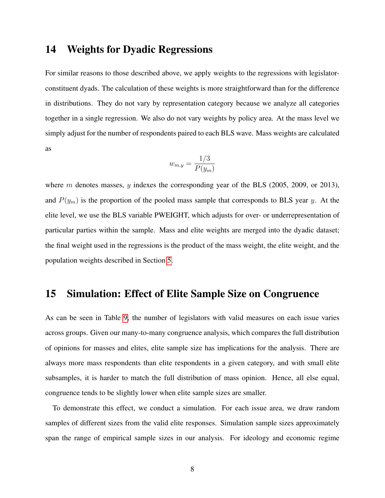#### <span id="page-8-0"></span>14 Weights for Dyadic Regressions

For similar reasons to those described above, we apply weights to the regressions with legislatorconstituent dyads. The calculation of these weights is more straightforward than for the difference in distributions. They do not vary by representation category because we analyze all categories together in a single regression. We also do not vary weights by policy area. At the mass level we simply adjust for the number of respondents paired to each BLS wave. Mass weights are calculated as

$$
w_{m,y} = \frac{1/3}{P(y_m)}
$$

where m denotes masses, y indexes the corresponding year of the BLS (2005, 2009, or 2013), and  $P(y_m)$  is the proportion of the pooled mass sample that corresponds to BLS year y. At the elite level, we use the BLS variable PWEIGHT, which adjusts for over- or underrepresentation of particular parties within the sample. Mass and elite weights are merged into the dyadic dataset; the final weight used in the regressions is the product of the mass weight, the elite weight, and the population weights described in Section [5.](#page-2-0)

#### 15 Simulation: Effect of Elite Sample Size on Congruence

As can be seen in Table [9,](#page-25-0) the number of legislators with valid measures on each issue varies across groups. Given our many-to-many congruence analysis, which compares the full distribution of opinions for masses and elites, elite sample size has implications for the analysis. There are always more mass respondents than elite respondents in a given category, and with small elite subsamples, it is harder to match the full distribution of mass opinion. Hence, all else equal, congruence tends to be slightly lower when elite sample sizes are smaller.

To demonstrate this effect, we conduct a simulation. For each issue area, we draw random samples of different sizes from the valid elite responses. Simulation sample sizes approximately span the range of empirical sample sizes in our analysis. For ideology and economic regime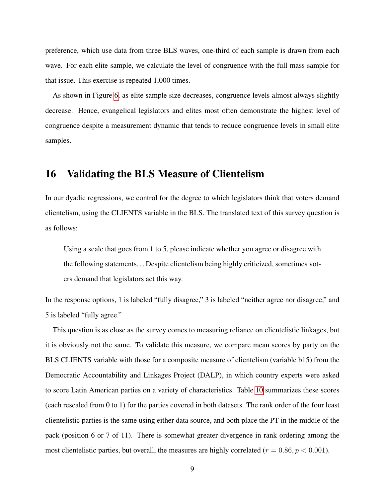preference, which use data from three BLS waves, one-third of each sample is drawn from each wave. For each elite sample, we calculate the level of congruence with the full mass sample for that issue. This exercise is repeated 1,000 times.

As shown in Figure [6,](#page-28-0) as elite sample size decreases, congruence levels almost always slightly decrease. Hence, evangelical legislators and elites most often demonstrate the highest level of congruence despite a measurement dynamic that tends to reduce congruence levels in small elite samples.

#### 16 Validating the BLS Measure of Clientelism

In our dyadic regressions, we control for the degree to which legislators think that voters demand clientelism, using the CLIENTS variable in the BLS. The translated text of this survey question is as follows:

Using a scale that goes from 1 to 5, please indicate whether you agree or disagree with the following statements. . . Despite clientelism being highly criticized, sometimes voters demand that legislators act this way.

In the response options, 1 is labeled "fully disagree," 3 is labeled "neither agree nor disagree," and 5 is labeled "fully agree."

This question is as close as the survey comes to measuring reliance on clientelistic linkages, but it is obviously not the same. To validate this measure, we compare mean scores by party on the BLS CLIENTS variable with those for a composite measure of clientelism (variable b15) from the Democratic Accountability and Linkages Project (DALP), in which country experts were asked to score Latin American parties on a variety of characteristics. Table [10](#page-29-0) summarizes these scores (each rescaled from 0 to 1) for the parties covered in both datasets. The rank order of the four least clientelistic parties is the same using either data source, and both place the PT in the middle of the pack (position 6 or 7 of 11). There is somewhat greater divergence in rank ordering among the most clientelistic parties, but overall, the measures are highly correlated ( $r = 0.86, p < 0.001$ ).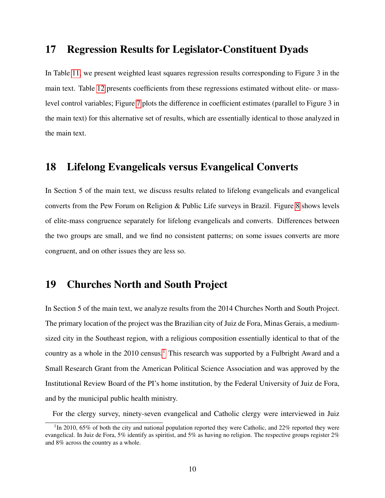#### 17 Regression Results for Legislator-Constituent Dyads

In Table [11,](#page-30-0) we present weighted least squares regression results corresponding to Figure 3 in the main text. Table [12](#page-31-0) presents coefficients from these regressions estimated without elite- or masslevel control variables; Figure [7](#page-32-0) plots the difference in coefficient estimates (parallel to Figure 3 in the main text) for this alternative set of results, which are essentially identical to those analyzed in the main text.

#### 18 Lifelong Evangelicals versus Evangelical Converts

In Section 5 of the main text, we discuss results related to lifelong evangelicals and evangelical converts from the Pew Forum on Religion & Public Life surveys in Brazil. Figure [8](#page-33-0) shows levels of elite-mass congruence separately for lifelong evangelicals and converts. Differences between the two groups are small, and we find no consistent patterns; on some issues converts are more congruent, and on other issues they are less so.

## 19 Churches North and South Project

In Section 5 of the main text, we analyze results from the 2014 Churches North and South Project. The primary location of the project was the Brazilian city of Juiz de Fora, Minas Gerais, a mediumsized city in the Southeast region, with a religious composition essentially identical to that of the country as a whole in the  $2010$  $2010$  $2010$  census.<sup>1</sup> This research was supported by a Fulbright Award and a Small Research Grant from the American Political Science Association and was approved by the Institutional Review Board of the PI's home institution, by the Federal University of Juiz de Fora, and by the municipal public health ministry.

<span id="page-10-0"></span>For the clergy survey, ninety-seven evangelical and Catholic clergy were interviewed in Juiz

<sup>&</sup>lt;sup>1</sup>In 2010, 65% of both the city and national population reported they were Catholic, and 22% reported they were evangelical. In Juiz de Fora, 5% identify as spiritist, and 5% as having no religion. The respective groups register 2% and 8% across the country as a whole.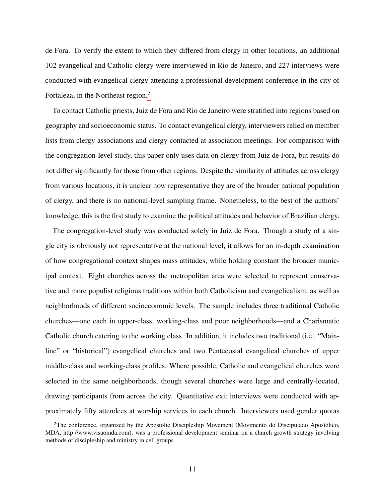de Fora. To verify the extent to which they differed from clergy in other locations, an additional 102 evangelical and Catholic clergy were interviewed in Rio de Janeiro, and 227 interviews were conducted with evangelical clergy attending a professional development conference in the city of Fortaleza, in the Northeast region.<sup>[2](#page-11-0)</sup>

To contact Catholic priests, Juiz de Fora and Rio de Janeiro were stratified into regions based on geography and socioeconomic status. To contact evangelical clergy, interviewers relied on member lists from clergy associations and clergy contacted at association meetings. For comparison with the congregation-level study, this paper only uses data on clergy from Juiz de Fora, but results do not differ significantly for those from other regions. Despite the similarity of attitudes across clergy from various locations, it is unclear how representative they are of the broader national population of clergy, and there is no national-level sampling frame. Nonetheless, to the best of the authors' knowledge, this is the first study to examine the political attitudes and behavior of Brazilian clergy.

The congregation-level study was conducted solely in Juiz de Fora. Though a study of a single city is obviously not representative at the national level, it allows for an in-depth examination of how congregational context shapes mass attitudes, while holding constant the broader municipal context. Eight churches across the metropolitan area were selected to represent conservative and more populist religious traditions within both Catholicism and evangelicalism, as well as neighborhoods of different socioeconomic levels. The sample includes three traditional Catholic churches—one each in upper-class, working-class and poor neighborhoods—and a Charismatic Catholic church catering to the working class. In addition, it includes two traditional (i.e., "Mainline" or "historical") evangelical churches and two Pentecostal evangelical churches of upper middle-class and working-class profiles. Where possible, Catholic and evangelical churches were selected in the same neighborhoods, though several churches were large and centrally-located, drawing participants from across the city. Quantitative exit interviews were conducted with approximately fifty attendees at worship services in each church. Interviewers used gender quotas

<span id="page-11-0"></span> $2$ The conference, organized by the Apostolic Discipleship Movement (Movimento do Discipulado Apostólico, MDA, http://www.visaomda.com), was a professional development seminar on a church growth strategy involving methods of discipleship and ministry in cell groups.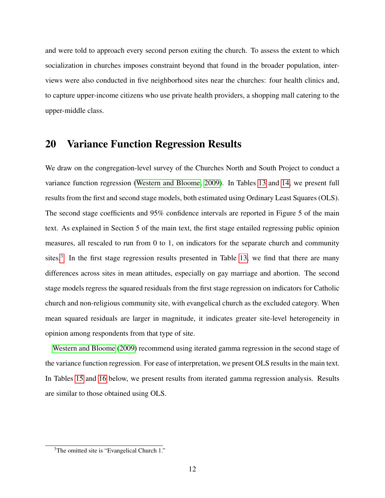and were told to approach every second person exiting the church. To assess the extent to which socialization in churches imposes constraint beyond that found in the broader population, interviews were also conducted in five neighborhood sites near the churches: four health clinics and, to capture upper-income citizens who use private health providers, a shopping mall catering to the upper-middle class.

#### 20 Variance Function Regression Results

We draw on the congregation-level survey of the Churches North and South Project to conduct a variance function regression [\(Western and Bloome, 2009\)](#page-38-1). In Tables [13](#page-34-0) and [14,](#page-35-0) we present full results from the first and second stage models, both estimated using Ordinary Least Squares (OLS). The second stage coefficients and 95% confidence intervals are reported in Figure 5 of the main text. As explained in Section 5 of the main text, the first stage entailed regressing public opinion measures, all rescaled to run from 0 to 1, on indicators for the separate church and community sites.<sup>[3](#page-12-0)</sup> In the first stage regression results presented in Table [13,](#page-34-0) we find that there are many differences across sites in mean attitudes, especially on gay marriage and abortion. The second stage models regress the squared residuals from the first stage regression on indicators for Catholic church and non-religious community site, with evangelical church as the excluded category. When mean squared residuals are larger in magnitude, it indicates greater site-level heterogeneity in opinion among respondents from that type of site.

[Western and Bloome](#page-38-1) [\(2009\)](#page-38-1) recommend using iterated gamma regression in the second stage of the variance function regression. For ease of interpretation, we present OLS results in the main text. In Tables [15](#page-36-0) and [16](#page-37-0) below, we present results from iterated gamma regression analysis. Results are similar to those obtained using OLS.

<span id="page-12-0"></span><sup>&</sup>lt;sup>3</sup>The omitted site is "Evangelical Church 1."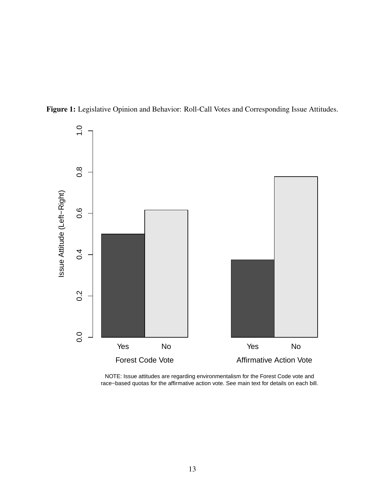<span id="page-13-0"></span>



NOTE: Issue attitudes are regarding environmentalism for the Forest Code vote and race−based quotas for the affirmative action vote. See main text for details on each bill.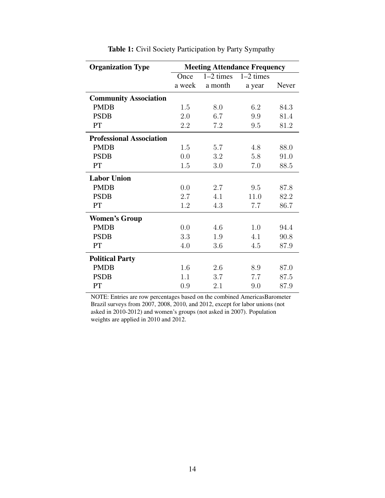<span id="page-14-0"></span>

| <b>Organization Type</b>        |        | <b>Meeting Attendance Frequency</b> |             |       |
|---------------------------------|--------|-------------------------------------|-------------|-------|
|                                 | Once   | $1-2$ times                         | $1-2$ times |       |
|                                 | a week | a month                             | a year      | Never |
| <b>Community Association</b>    |        |                                     |             |       |
| <b>PMDB</b>                     | 1.5    | 8.0                                 | 6.2         | 84.3  |
| <b>PSDB</b>                     | 2.0    | 6.7                                 | 9.9         | 81.4  |
| PT                              | 2.2    | 7.2                                 | 9.5         | 81.2  |
| <b>Professional Association</b> |        |                                     |             |       |
| <b>PMDB</b>                     | 1.5    | 5.7                                 | 4.8         | 88.0  |
| <b>PSDB</b>                     | 0.0    | 3.2                                 | 5.8         | 91.0  |
| PT                              | 1.5    | 3.0                                 | 7.0         | 88.5  |
| <b>Labor Union</b>              |        |                                     |             |       |
| <b>PMDB</b>                     | 0.0    | 2.7                                 | 9.5         | 87.8  |
| <b>PSDB</b>                     | 2.7    | 4.1                                 | 11.0        | 82.2  |
| PT                              | 1.2    | 4.3                                 | 7.7         | 86.7  |
| <b>Women's Group</b>            |        |                                     |             |       |
| <b>PMDB</b>                     | 0.0    | 4.6                                 | 1.0         | 94.4  |
| <b>PSDB</b>                     | 3.3    | 1.9                                 | 4.1         | 90.8  |
| PT                              | 4.0    | 3.6                                 | 4.5         | 87.9  |
| <b>Political Party</b>          |        |                                     |             |       |
| <b>PMDB</b>                     | 1.6    | 2.6                                 | 8.9         | 87.0  |
| <b>PSDB</b>                     | 1.1    | 3.7                                 | 7.7         | 87.5  |
| PT                              | 0.9    | 2.1                                 | 9.0         | 87.9  |

Table 1: Civil Society Participation by Party Sympathy

NOTE: Entries are row percentages based on the combined AmericasBarometer Brazil surveys from 2007, 2008, 2010, and 2012, except for labor unions (not asked in 2010-2012) and women's groups (not asked in 2007). Population weights are applied in 2010 and 2012.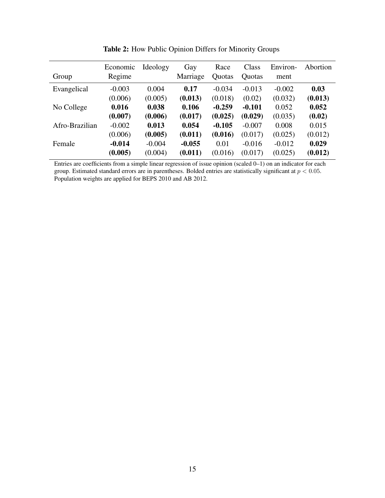<span id="page-15-0"></span>

| Group          | Economic<br>Regime | Ideology | Gay<br>Marriage | Race<br>Quotas | Class<br>Quotas | Environ-<br>ment | Abortion |
|----------------|--------------------|----------|-----------------|----------------|-----------------|------------------|----------|
| Evangelical    | $-0.003$           | 0.004    | 0.17            | $-0.034$       | $-0.013$        | $-0.002$         | 0.03     |
|                | (0.006)            | (0.005)  | (0.013)         | (0.018)        | (0.02)          | (0.032)          | (0.013)  |
| No College     | 0.016              | 0.038    | 0.106           | $-0.259$       | $-0.101$        | 0.052            | 0.052    |
|                | (0.007)            | (0.006)  | (0.017)         | (0.025)        | (0.029)         | (0.035)          | (0.02)   |
| Afro-Brazilian | $-0.002$           | 0.013    | 0.054           | $-0.105$       | $-0.007$        | 0.008            | 0.015    |
|                | (0.006)            | (0.005)  | (0.011)         | (0.016)        | (0.017)         | (0.025)          | (0.012)  |
| Female         | $-0.014$           | $-0.004$ | $-0.055$        | 0.01           | $-0.016$        | $-0.012$         | 0.029    |
|                | (0.005)            | (0.004)  | (0.011)         | (0.016)        | (0.017)         | (0.025)          | (0.012)  |

Table 2: How Public Opinion Differs for Minority Groups

Entries are coefficients from a simple linear regression of issue opinion (scaled 0–1) on an indicator for each group. Estimated standard errors are in parentheses. Bolded entries are statistically significant at  $p < 0.05$ . Population weights are applied for BEPS 2010 and AB 2012.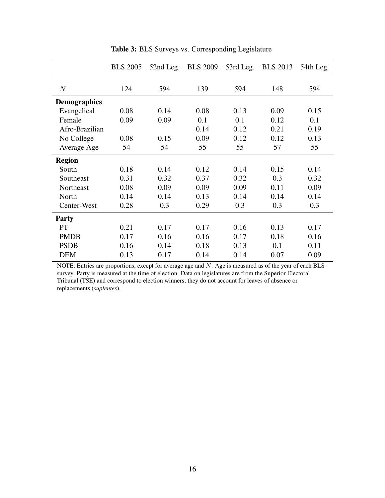<span id="page-16-0"></span>

|                     | <b>BLS 2005</b> | 52nd Leg. | <b>BLS 2009</b> | 53rd Leg. | <b>BLS</b> 2013 | 54th Leg. |
|---------------------|-----------------|-----------|-----------------|-----------|-----------------|-----------|
|                     |                 |           |                 |           |                 |           |
| N                   | 124             | 594       | 139             | 594       | 148             | 594       |
| <b>Demographics</b> |                 |           |                 |           |                 |           |
| Evangelical         | 0.08            | 0.14      | 0.08            | 0.13      | 0.09            | 0.15      |
| Female              | 0.09            | 0.09      | 0.1             | 0.1       | 0.12            | 0.1       |
| Afro-Brazilian      |                 |           | 0.14            | 0.12      | 0.21            | 0.19      |
| No College          | 0.08            | 0.15      | 0.09            | 0.12      | 0.12            | 0.13      |
| Average Age         | 54              | 54        | 55              | 55        | 57              | 55        |
| <b>Region</b>       |                 |           |                 |           |                 |           |
| South               | 0.18            | 0.14      | 0.12            | 0.14      | 0.15            | 0.14      |
| Southeast           | 0.31            | 0.32      | 0.37            | 0.32      | 0.3             | 0.32      |
| Northeast           | 0.08            | 0.09      | 0.09            | 0.09      | 0.11            | 0.09      |
| North               | 0.14            | 0.14      | 0.13            | 0.14      | 0.14            | 0.14      |
| Center-West         | 0.28            | 0.3       | 0.29            | 0.3       | 0.3             | 0.3       |
| <b>Party</b>        |                 |           |                 |           |                 |           |
| <b>PT</b>           | 0.21            | 0.17      | 0.17            | 0.16      | 0.13            | 0.17      |
| <b>PMDB</b>         | 0.17            | 0.16      | 0.16            | 0.17      | 0.18            | 0.16      |
| <b>PSDB</b>         | 0.16            | 0.14      | 0.18            | 0.13      | 0.1             | 0.11      |
| <b>DEM</b>          | 0.13            | 0.17      | 0.14            | 0.14      | 0.07            | 0.09      |

Table 3: BLS Surveys vs. Corresponding Legislature

NOTE: Entries are proportions, except for average age and N. Age is measured as of the year of each BLS survey. Party is measured at the time of election. Data on legislatures are from the Superior Electoral Tribunal (TSE) and correspond to election winners; they do not account for leaves of absence or replacements (*suplentes*).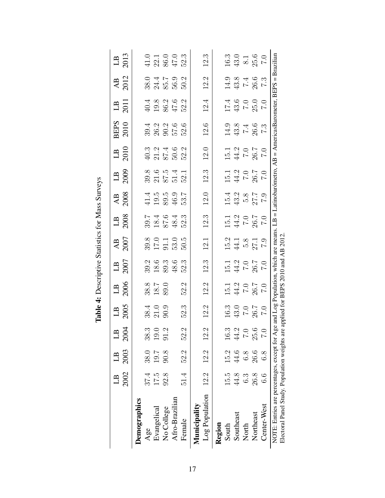<span id="page-17-0"></span>

|                                                                                             | 2002 | 2003<br>LB | 2004                  | $1B$<br>2005                                                  | $L$ B<br>2006                                                                  | $\frac{1}{2007}$                                                     | $\frac{\text{AB}}{2007}$                    | $\begin{array}{c}\n\text{LB} \\ \text{2008}\n\end{array}$ | $\frac{\text{AB}}{2008}$                                     | $\begin{array}{c}\n\boxed{1B} \\ 2009\n\end{array}$ | $\begin{array}{c}\n\boxed{1B} \\ 2010\n\end{array}$                  | <b>BEPS</b><br>2010                                               | $13$<br>$-2011$                             | $\frac{\text{AB}}{2012}$                                                          | $\frac{1}{2}$                                  |
|---------------------------------------------------------------------------------------------|------|------------|-----------------------|---------------------------------------------------------------|--------------------------------------------------------------------------------|----------------------------------------------------------------------|---------------------------------------------|-----------------------------------------------------------|--------------------------------------------------------------|-----------------------------------------------------|----------------------------------------------------------------------|-------------------------------------------------------------------|---------------------------------------------|-----------------------------------------------------------------------------------|------------------------------------------------|
| Demographics                                                                                |      |            |                       |                                                               |                                                                                |                                                                      |                                             |                                                           |                                                              |                                                     |                                                                      |                                                                   |                                             |                                                                                   |                                                |
| Age                                                                                         | 37.4 | 38.0       | က<br>38.              |                                                               |                                                                                |                                                                      |                                             |                                                           |                                                              |                                                     |                                                                      |                                                                   |                                             |                                                                                   |                                                |
| Evangelical                                                                                 | 17.5 | 19.7       | $\cup$<br>19.         | 38.4<br>21.0<br>90.9                                          | $38.8$<br>18.7<br>89.0                                                         |                                                                      |                                             |                                                           |                                                              |                                                     |                                                                      |                                                                   |                                             |                                                                                   |                                                |
| No College                                                                                  | 92.8 | 90.8       | $\mathfrak{a}$        |                                                               |                                                                                |                                                                      |                                             |                                                           |                                                              |                                                     |                                                                      |                                                                   |                                             |                                                                                   |                                                |
| Afro-Brazilian                                                                              |      |            |                       |                                                               |                                                                                | $39.6$<br>$39.3$<br>$48.6$                                           | $39.0$<br>$17.1$<br>$53.0$<br>$50.5$        | 39.1<br>28.1<br>39.3<br>39.3<br>39.3                      | $41.4$<br>$19.5$<br>$40.5$<br>$40.7$<br>$40.7$<br>$40.7$     | 39.8<br>21.5<br>37.4<br>52.1                        | $40.3$<br>$45.5$<br>$50.2$<br>$52.3$                                 | 39 3 3 5 5 5<br>3 6 9 5 5 5<br>3 9 5 5 5                          | $40.3$<br>$19.8$<br>$45.2$<br>$45.2$        | 0<br>0<br>0<br>0<br>0<br>0<br>0<br>0<br>0<br>0<br>0<br>0<br>0<br>0<br>0<br>0<br>0 | $41.0$<br>$22.1$<br>$86.0$<br>$47.3$<br>$52.3$ |
| Female                                                                                      | 51.4 | 52.2       | 52.2                  | 52.3                                                          | 52.2                                                                           | 52.3                                                                 |                                             |                                                           |                                                              |                                                     |                                                                      |                                                                   |                                             |                                                                                   |                                                |
| Log Population<br>Municipality                                                              | 12.2 | 12.2       | 12.2                  | 12.2                                                          | 12.2                                                                           | 12.3                                                                 | 12.1                                        | 12.3                                                      | $12.0\,$                                                     | 12.3                                                | $12.0\,$                                                             | $12.6\,$                                                          | $12.4\,$                                    | 12.2                                                                              | 12.3                                           |
| Region                                                                                      |      |            |                       |                                                               |                                                                                |                                                                      |                                             |                                                           |                                                              |                                                     |                                                                      |                                                                   |                                             |                                                                                   |                                                |
| South                                                                                       | 15.9 | 15.2       | ಌ<br>16.              |                                                               |                                                                                |                                                                      |                                             |                                                           |                                                              |                                                     |                                                                      |                                                                   |                                             |                                                                                   |                                                |
| Southeast                                                                                   | 44.8 | 44.6       | $1.2$<br>7.0<br>$44.$ |                                                               |                                                                                |                                                                      |                                             |                                                           |                                                              |                                                     |                                                                      |                                                                   |                                             |                                                                                   |                                                |
| North                                                                                       | 6.3  | 8.8        |                       |                                                               |                                                                                |                                                                      |                                             |                                                           |                                                              |                                                     |                                                                      |                                                                   |                                             |                                                                                   |                                                |
| Northeast                                                                                   | 26.8 | 26.6       | $\frac{5}{25}$        | $\begin{array}{c} 16.3 \\ 43.0 \\ 7.0 \\ 26.7 \\ \end{array}$ | $\begin{array}{c} 15.1 \\ 44.2 \\ 7.0 \\ 26.7 \\ 7.0 \\ \end{array}$           | $\begin{array}{c} 15.1 \\ 44.2 \\ 7.0 \\ 26.7 \\ 7.0 \\ \end{array}$ | $15.2$<br>$44.1$<br>$5.8$<br>$7.9$<br>$7.9$ | 15.1<br>44.2<br>7.0<br>7.0<br>7.0                         | $\begin{array}{c} 15.4 \\ 43.2 \\ 5.8 \\ 7.9 \\ \end{array}$ | 15.1<br>44.2<br>7.0<br>7.0<br>7.0                   | $\begin{array}{c} 15.1 \\ 44.2 \\ 7.0 \\ 26.7 \\ 7.0 \\ \end{array}$ | $14.3$<br>$43.8$<br>$7.4$<br>$7.3$<br>$7.3$                       | $17.4$<br>$43.6$<br>$7.0$<br>$7.0$<br>$7.0$ | $14.9$<br>$43.8$<br>$7.4$<br>$7.3$<br>$7.3$                                       | $16.3$<br>$43.0$<br>$8.1$<br>$7.0$<br>$7.0$    |
| Center-West                                                                                 | 6.6  | 6.8        |                       |                                                               |                                                                                |                                                                      |                                             |                                                           |                                                              |                                                     |                                                                      |                                                                   |                                             |                                                                                   |                                                |
| NOTE: Entries are percentages, except for A<br>Electoral Panel Study. Population weights ar |      |            |                       |                                                               | ge and Log Population, which are means.<br>e applied for BEPS 2010 and AB 2012 |                                                                      |                                             |                                                           |                                                              |                                                     |                                                                      | $LB = Latinobaró metro, AB = AmericasBarometer, BEPS = Brazilian$ |                                             |                                                                                   |                                                |

Table 4: Descriptive Statistics for Mass Surveys Table 4: Descriptive Statistics for Mass Surveys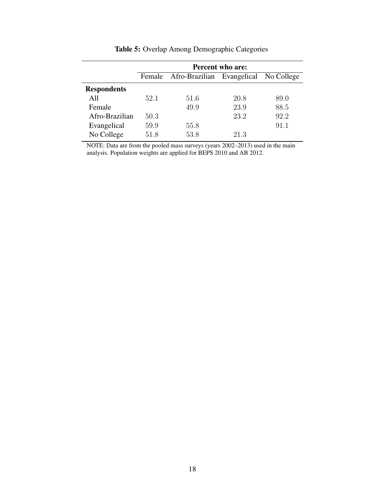<span id="page-18-0"></span>

|                    |      |                                              | <b>Percent who are:</b> |      |
|--------------------|------|----------------------------------------------|-------------------------|------|
|                    |      | Female Afro-Brazilian Evangelical No College |                         |      |
| <b>Respondents</b> |      |                                              |                         |      |
| A11                | 52.1 | 51.6                                         | 20.8                    | 89.0 |
| Female             |      | 49.9                                         | 23.9                    | 88.5 |
| Afro-Brazilian     | 50.3 |                                              | 23.2                    | 92.2 |
| Evangelical        | 59.9 | 55.8                                         |                         | 91.1 |
| No College         | 51.8 | 53.8                                         | 21.3                    |      |

Table 5: Overlap Among Demographic Categories

NOTE: Data are from the pooled mass surveys (years 2002–2013) used in the main analysis. Population weights are applied for BEPS 2010 and AB 2012.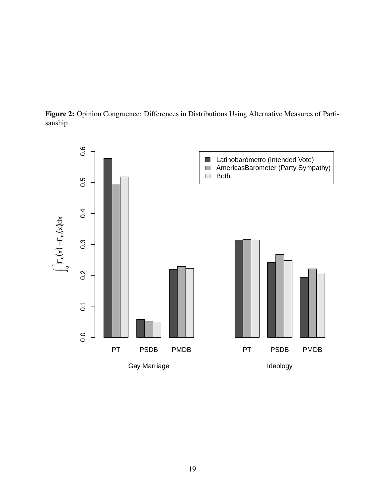<span id="page-19-0"></span>Figure 2: Opinion Congruence: Differences in Distributions Using Alternative Measures of Partisanship

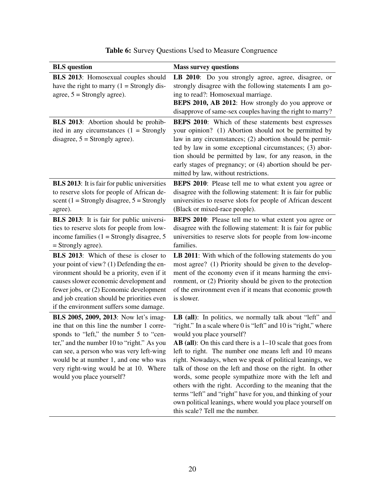<span id="page-20-0"></span>

| <b>BLS</b> question                                                                                                                                                                                                                                                                                                                    | <b>Mass survey questions</b>                                                                                                                                                                                                                                                                                                                                                                                                                                                                                                                                                                                                                                                                     |
|----------------------------------------------------------------------------------------------------------------------------------------------------------------------------------------------------------------------------------------------------------------------------------------------------------------------------------------|--------------------------------------------------------------------------------------------------------------------------------------------------------------------------------------------------------------------------------------------------------------------------------------------------------------------------------------------------------------------------------------------------------------------------------------------------------------------------------------------------------------------------------------------------------------------------------------------------------------------------------------------------------------------------------------------------|
| <b>BLS 2013:</b> Homosexual couples should<br>have the right to marry $(1 = \text{Strongly dis-})$<br>agree, $5 =$ Strongly agree).                                                                                                                                                                                                    | LB 2010: Do you strongly agree, agree, disagree, or<br>strongly disagree with the following statements I am go-<br>ing to read?: Homosexual marriage.<br>BEPS 2010, AB 2012: How strongly do you approve or<br>disapprove of same-sex couples having the right to marry?                                                                                                                                                                                                                                                                                                                                                                                                                         |
| <b>BLS</b> 2013: Abortion should be prohib-<br>ited in any circumstances $(1 =$ Strongly<br>disagree, $5 =$ Strongly agree).                                                                                                                                                                                                           | <b>BEPS 2010:</b> Which of these statements best expresses<br>your opinion? (1) Abortion should not be permitted by<br>law in any circumstances; (2) abortion should be permit-<br>ted by law in some exceptional circumstances; (3) abor-<br>tion should be permitted by law, for any reason, in the<br>early stages of pregnancy; or (4) abortion should be per-<br>mitted by law, without restrictions.                                                                                                                                                                                                                                                                                       |
| <b>BLS 2013:</b> It is fair for public universities<br>to reserve slots for people of African de-<br>scent (1 = Strongly disagree, $5 =$ Strongly<br>agree).                                                                                                                                                                           | <b>BEPS 2010:</b> Please tell me to what extent you agree or<br>disagree with the following statement: It is fair for public<br>universities to reserve slots for people of African descent<br>(Black or mixed-race people).                                                                                                                                                                                                                                                                                                                                                                                                                                                                     |
| <b>BLS</b> 2013: It is fair for public universi-<br>ties to reserve slots for people from low-<br>income families $(1 =$ Strongly disagree, 5<br>$=$ Strongly agree).                                                                                                                                                                  | <b>BEPS 2010</b> : Please tell me to what extent you agree or<br>disagree with the following statement: It is fair for public<br>universities to reserve slots for people from low-income<br>families.                                                                                                                                                                                                                                                                                                                                                                                                                                                                                           |
| BLS 2013: Which of these is closer to<br>your point of view? (1) Defending the en-<br>vironment should be a priority, even if it<br>causes slower economic development and<br>fewer jobs, or (2) Economic development<br>and job creation should be priorities even<br>if the environment suffers some damage.                         | LB 2011: With which of the following statements do you<br>most agree? (1) Priority should be given to the develop-<br>ment of the economy even if it means harming the envi-<br>ronment, or (2) Priority should be given to the protection<br>of the environment even if it means that economic growth<br>is slower.                                                                                                                                                                                                                                                                                                                                                                             |
| BLS 2005, 2009, 2013: Now let's imag-<br>ine that on this line the number 1 corre-<br>sponds to "left," the number 5 to "cen-<br>ter," and the number 10 to "right." As you<br>can see, a person who was very left-wing<br>would be at number 1, and one who was<br>very right-wing would be at 10. Where<br>would you place yourself? | LB (all): In politics, we normally talk about "left" and<br>"right." In a scale where 0 is "left" and 10 is "right," where<br>would you place yourself?<br>$AB$ (all): On this card there is a $1-10$ scale that goes from<br>left to right. The number one means left and 10 means<br>right. Nowadays, when we speak of political leanings, we<br>talk of those on the left and those on the right. In other<br>words, some people sympathize more with the left and<br>others with the right. According to the meaning that the<br>terms "left" and "right" have for you, and thinking of your<br>own political leanings, where would you place yourself on<br>this scale? Tell me the number. |

## Table 6: Survey Questions Used to Measure Congruence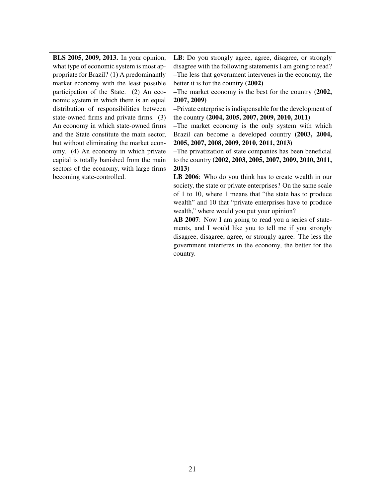BLS 2005, 2009, 2013. In your opinion, what type of economic system is most appropriate for Brazil? (1) A predominantly market economy with the least possible participation of the State. (2) An economic system in which there is an equal distribution of responsibilities between state-owned firms and private firms. (3) An economy in which state-owned firms and the State constitute the main sector, but without eliminating the market economy. (4) An economy in which private capital is totally banished from the main sectors of the economy, with large firms becoming state-controlled.

LB: Do you strongly agree, agree, disagree, or strongly disagree with the following statements I am going to read? –The less that government intervenes in the economy, the better it is for the country (2002)

–The market economy is the best for the country (2002, 2007, 2009)

–Private enterprise is indispensable for the development of the country (2004, 2005, 2007, 2009, 2010, 2011)

–The market economy is the only system with which Brazil can become a developed country (2003, 2004, 2005, 2007, 2008, 2009, 2010, 2011, 2013)

–The privatization of state companies has been beneficial to the country (2002, 2003, 2005, 2007, 2009, 2010, 2011, 2013)

LB 2006: Who do you think has to create wealth in our society, the state or private enterprises? On the same scale of 1 to 10, where 1 means that "the state has to produce wealth" and 10 that "private enterprises have to produce wealth," where would you put your opinion?

AB 2007: Now I am going to read you a series of statements, and I would like you to tell me if you strongly disagree, disagree, agree, or strongly agree. The less the government interferes in the economy, the better for the country.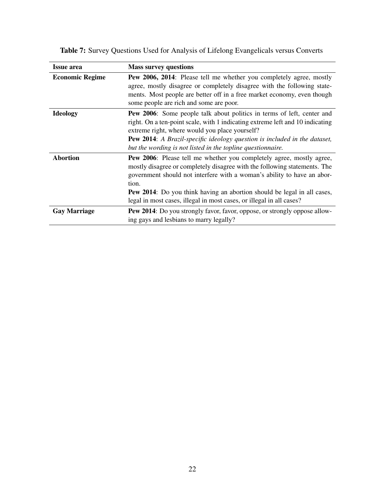| <b>Issue area</b>      | <b>Mass survey questions</b>                                                                                                                                                                                                                                                                                                                                                                            |
|------------------------|---------------------------------------------------------------------------------------------------------------------------------------------------------------------------------------------------------------------------------------------------------------------------------------------------------------------------------------------------------------------------------------------------------|
| <b>Economic Regime</b> | <b>Pew 2006, 2014:</b> Please tell me whether you completely agree, mostly<br>agree, mostly disagree or completely disagree with the following state-<br>ments. Most people are better off in a free market economy, even though<br>some people are rich and some are poor.                                                                                                                             |
| <b>Ideology</b>        | <b>Pew 2006:</b> Some people talk about politics in terms of left, center and<br>right. On a ten-point scale, with 1 indicating extreme left and 10 indicating<br>extreme right, where would you place yourself?<br>Pew 2014: A Brazil-specific ideology question is included in the dataset,<br>but the wording is not listed in the topline questionnaire.                                            |
| <b>Abortion</b>        | <b>Pew 2006:</b> Please tell me whether you completely agree, mostly agree,<br>mostly disagree or completely disagree with the following statements. The<br>government should not interfere with a woman's ability to have an abor-<br>tion.<br><b>Pew 2014</b> : Do you think having an abortion should be legal in all cases,<br>legal in most cases, illegal in most cases, or illegal in all cases? |
| <b>Gay Marriage</b>    | Pew 2014: Do you strongly favor, favor, oppose, or strongly oppose allow-<br>ing gays and lesbians to marry legally?                                                                                                                                                                                                                                                                                    |

<span id="page-22-0"></span>Table 7: Survey Questions Used for Analysis of Lifelong Evangelicals versus Converts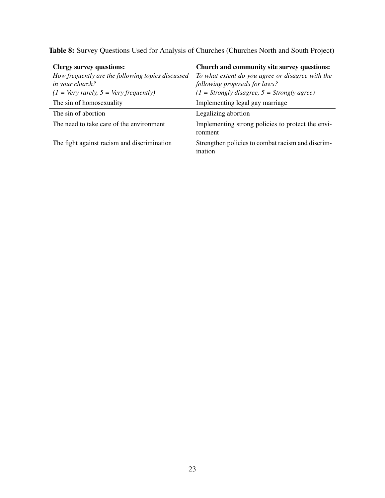| <b>Clergy survey questions:</b>                   | Church and community site survey questions:                  |
|---------------------------------------------------|--------------------------------------------------------------|
| How frequently are the following topics discussed | To what extent do you agree or disagree with the             |
| in your church?                                   | following proposals for laws?                                |
| $(1 = Very \, rarely, 5 = Very \, frequently)$    | $(1 = \text{Strongly disagree}, 5 = \text{Strongly agree})$  |
| The sin of homosexuality                          | Implementing legal gay marriage                              |
| The sin of abortion                               | Legalizing abortion                                          |
| The need to take care of the environment          | Implementing strong policies to protect the envi-            |
|                                                   | ronment                                                      |
| The fight against racism and discrimination       | Strengthen policies to combat racism and discrim-<br>ination |

<span id="page-23-0"></span>Table 8: Survey Questions Used for Analysis of Churches (Churches North and South Project)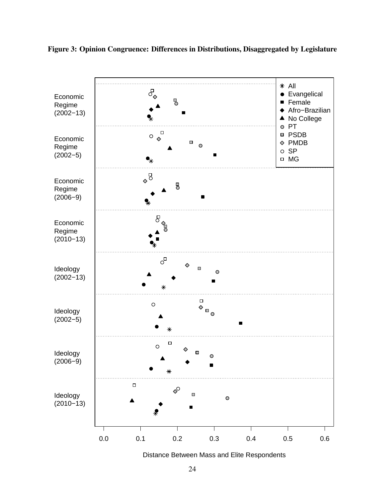

#### <span id="page-24-0"></span>Figure 3: Opinion Congruence: Differences in Distributions, Disaggregated by Legislature

Distance Between Mass and Elite Respondents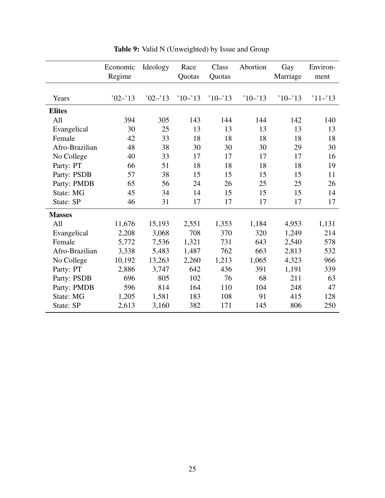<span id="page-25-0"></span>

|                | Economic<br>Regime | Ideology   | Race<br>Quotas | Class<br>Quotas | Abortion  | Gay<br>Marriage | Environ-<br>ment |
|----------------|--------------------|------------|----------------|-----------------|-----------|-----------------|------------------|
| Years          | $02 - 13$          | $'02 - 13$ | $10 - 13$      | $10 - 13$       | $10 - 13$ | $10 - 13$       | $11 - 13$        |
| <b>Elites</b>  |                    |            |                |                 |           |                 |                  |
| All            | 394                | 305        | 143            | 144             | 144       | 142             | 140              |
| Evangelical    | 30                 | 25         | 13             | 13              | 13        | 13              | 13               |
| Female         | 42                 | 33         | 18             | 18              | 18        | 18              | 18               |
| Afro-Brazilian | 48                 | 38         | 30             | 30              | 30        | 29              | 30               |
| No College     | 40                 | 33         | 17             | 17              | 17        | 17              | 16               |
| Party: PT      | 66                 | 51         | 18             | 18              | 18        | 18              | 19               |
| Party: PSDB    | 57                 | 38         | 15             | 15              | 15        | 15              | 11               |
| Party: PMDB    | 65                 | 56         | 24             | 26              | 25        | 25              | 26               |
| State: MG      | 45                 | 34         | 14             | 15              | 15        | 15              | 14               |
| State: SP      | 46                 | 31         | 17             | 17              | 17        | 17              | 17               |
| <b>Masses</b>  |                    |            |                |                 |           |                 |                  |
| All            | 11,676             | 15,193     | 2,551          | 1,353           | 1,184     | 4,953           | 1,131            |
| Evangelical    | 2,208              | 3,068      | 708            | 370             | 320       | 1,249           | 214              |
| Female         | 5,772              | 7,536      | 1,321          | 731             | 643       | 2,540           | 578              |
| Afro-Brazilian | 3,338              | 5,483      | 1,487          | 762             | 663       | 2,813           | 532              |
| No College     | 10,192             | 13,263     | 2,260          | 1,213           | 1,065     | 4,323           | 966              |
| Party: PT      | 2,886              | 3,747      | 642            | 436             | 391       | 1,191           | 339              |
| Party: PSDB    | 696                | 805        | 102            | 76              | 68        | 211             | 63               |
| Party: PMDB    | 596                | 814        | 164            | 110             | 104       | 248             | 47               |
| State: MG      | 1,205              | 1,581      | 183            | 108             | 91        | 415             | 128              |
| State: SP      | 2,613              | 3,160      | 382            | 171             | 145       | 806             | 250              |

Table 9: Valid N (Unweighted) by Issue and Group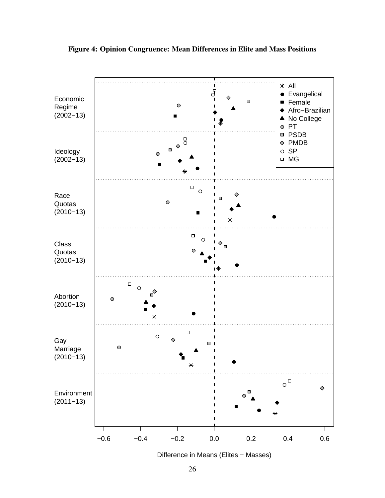

<span id="page-26-0"></span>Figure 4: Opinion Congruence: Mean Differences in Elite and Mass Positions

Difference in Means (Elites − Masses)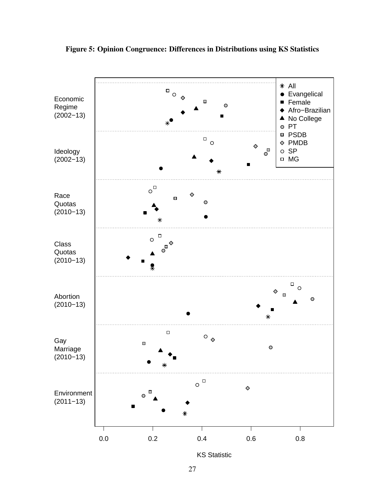

<span id="page-27-0"></span>Figure 5: Opinion Congruence: Differences in Distributions using KS Statistics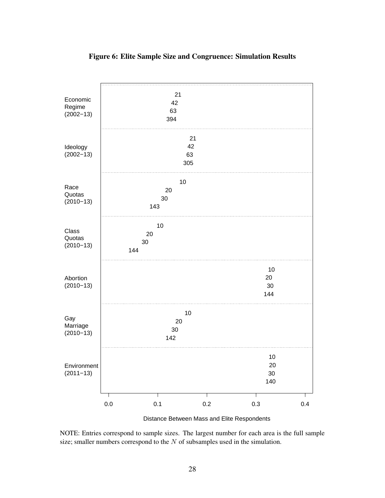<span id="page-28-0"></span>

#### Figure 6: Elite Sample Size and Congruence: Simulation Results

Distance Between Mass and Elite Respondents

NOTE: Entries correspond to sample sizes. The largest number for each area is the full sample size; smaller numbers correspond to the  $N$  of subsamples used in the simulation.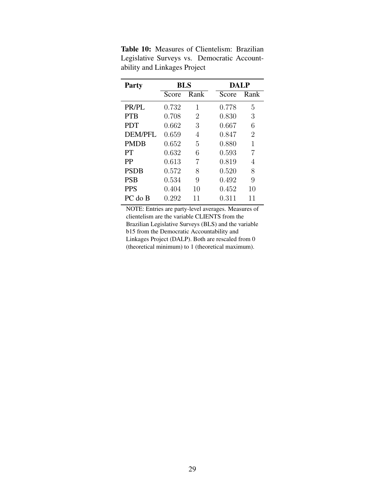| <b>Party</b>   | <b>BLS</b> |      | <b>DALP</b> |                |
|----------------|------------|------|-------------|----------------|
|                | Score      | Rank | Score       | Rank           |
| PR/PL          | 0.732      | 1    | 0.778       | 5              |
| <b>PTB</b>     | 0.708      | 2    | 0.830       | 3              |
| <b>PDT</b>     | 0.662      | 3    | 0.667       | 6              |
| <b>DEM/PFL</b> | 0.659      | 4    | 0.847       | $\overline{2}$ |
| <b>PMDB</b>    | 0.652      | 5    | 0.880       | 1              |
| <b>PT</b>      | 0.632      | 6    | 0.593       | 7              |
| <b>PP</b>      | 0.613      | 7    | 0.819       | 4              |
| <b>PSDB</b>    | 0.572      | 8    | 0.520       | 8              |
| <b>PSB</b>     | 0.534      | 9    | 0.492       | 9              |
| <b>PPS</b>     | 0.404      | 10   | 0.452       | 10             |
| PC do B        | 0.292      | 11   | 0.311       | 11             |

<span id="page-29-0"></span>Table 10: Measures of Clientelism: Brazilian Legislative Surveys vs. Democratic Accountability and Linkages Project

NOTE: Entries are party-level averages. Measures of clientelism are the variable CLIENTS from the Brazilian Legislative Surveys (BLS) and the variable b15 from the Democratic Accountability and Linkages Project (DALP). Both are rescaled from 0 (theoretical minimum) to 1 (theoretical maximum).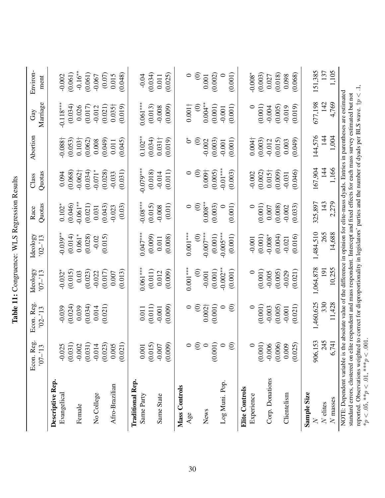<span id="page-30-0"></span>

|                                                                                                                                                                                                                                                                                                                                                                                                                                | Econ. Reg.<br>$-13$           | Econ. Reg.<br>$02 - 13$    | Ideology<br>$-70$           | Ideology<br>$02 - 13$  | Quotas<br>Race                | Quotas<br>Class                | Abortion                      | Marriage<br>Gay                      | Environ-<br>ment           |
|--------------------------------------------------------------------------------------------------------------------------------------------------------------------------------------------------------------------------------------------------------------------------------------------------------------------------------------------------------------------------------------------------------------------------------|-------------------------------|----------------------------|-----------------------------|------------------------|-------------------------------|--------------------------------|-------------------------------|--------------------------------------|----------------------------|
| Descriptive Rep.<br>Evangelical                                                                                                                                                                                                                                                                                                                                                                                                | $-0.025$                      | $-0.039$                   | $-0.032*$                   | $0.039***$             | $0.102*$                      | 0.094                          | $-0.088\dagger$               | $-0.118***$                          | $-0.002$                   |
| Female                                                                                                                                                                                                                                                                                                                                                                                                                         | $(0.031)$<br>$-0.002$         | (0.024)<br>0.039           | (0.015)<br>0.03             | (0.014)<br>$0.061*$    | $-0.061**$<br>(0.046)         | $-0.062\dagger$<br>(0.068)     | 0.103 <sup>†</sup><br>(0.053) | (0.034)<br>0.026                     | $-0.16**$<br>(0.061)       |
| No College                                                                                                                                                                                                                                                                                                                                                                                                                     | (0.031)<br>$-0.014$           | (0.034)<br>0.014           | (0.023)<br>$-0.022$         | (0.028)<br>$-0.02$     | (0.021)<br>0.031              | $-0.071*$<br>(0.034)           | (0.062)<br>0.008              | (0.017)<br>$-0.012$                  | (0.061)<br>$-0.067$        |
| Afro-Brazilian                                                                                                                                                                                                                                                                                                                                                                                                                 | $(0.023)$<br>0.005<br>(0.021) | (0.021)                    | (0.017)<br>(0.013)<br>0.007 | (0.015)                | (0.03)<br>(0.043)<br>$-0.023$ | (0.031)<br>(0.028)<br>$-0.033$ | (0.049)<br>(0.045)<br>0.011   | (0.021)<br>$0.035\dagger$<br>(0.019) | (0.07)<br>(0.048)<br>0.015 |
| <b>Traditional Rep.</b><br>Same Party                                                                                                                                                                                                                                                                                                                                                                                          | $0.001$                       | 0.011                      | $0.061***$                  | $0.047***$             | $-0.08***$                    | $-0.079***$                    | $0.102**$                     | $0.061***$                           | $-0.04$                    |
|                                                                                                                                                                                                                                                                                                                                                                                                                                | $(0.015)$<br>$-0.007$         | (0.011)                    | (0.011)                     | (0.009)                | (0.015)                       | (0.018)                        | (0.034)                       | (0.013)                              | (0.034)                    |
| Same State                                                                                                                                                                                                                                                                                                                                                                                                                     | (0.009)                       | (0.009)<br>$-0.001$        | (0.009)<br>0.012            | (0.008)<br>0.011       | (0.01)<br>$-0.008$            | (0.011)<br>$-0.014$            | $0.031\dagger$<br>(0.019)     | (0.009)<br>$-0.008$                  | (0.025)<br>0.011           |
| Mass Controls                                                                                                                                                                                                                                                                                                                                                                                                                  |                               |                            |                             |                        |                               |                                |                               |                                      |                            |
| Age                                                                                                                                                                                                                                                                                                                                                                                                                            |                               | $\circ$                    | $0.001***$                  | $0.001***$             | $\circ$                       | $\circ$                        | Č                             | $0.001\dagger$                       | $\circ$                    |
|                                                                                                                                                                                                                                                                                                                                                                                                                                | $\odot$                       | $\widehat{\in}$            | $\widehat{\circ}$           | $\widehat{\odot}$      | $\widehat{\circ}$             | $\widehat{\Theta}$             | $\odot$                       | $\widehat{\in}$                      | $\odot$                    |
| News                                                                                                                                                                                                                                                                                                                                                                                                                           |                               | $0.002\dagger$             | $-0.001$                    | $-0.007***$            | $0.008^{**}$                  | 0.009 <sup>†</sup>             | $-0.002$                      | $0.004**$                            | 0.001                      |
|                                                                                                                                                                                                                                                                                                                                                                                                                                | (0.001)                       | (0.001)                    | (0.001)                     | (0.001)                | (0.003)                       | (0.005)                        | (0.003)                       | (0.001)                              | (0.002)                    |
| Log Muni. Pop.                                                                                                                                                                                                                                                                                                                                                                                                                 | $\odot$                       | $\widehat{\in}$<br>$\circ$ | $-0.002***$<br>(0.001)      | $-0.005***$<br>(0.001) | (0.001)                       | $-0.01***$<br>(0.003)          | (0.001)<br>$-0.001$           | (0.001)<br>$-0.001$                  | (0.001)<br>0               |
| <b>Elite Controls</b>                                                                                                                                                                                                                                                                                                                                                                                                          |                               |                            |                             |                        |                               |                                |                               |                                      |                            |
| Experience                                                                                                                                                                                                                                                                                                                                                                                                                     |                               | $\circ$                    | $\circ$                     | $-0.001$               | $\circ$                       | $-0.002$                       | $0.004\dagger$                | $\circ$                              | $0.008*$                   |
|                                                                                                                                                                                                                                                                                                                                                                                                                                | (0.001)                       | (0.001)                    | (0.001)                     | (0.001)                | (0.001)                       | (0.002)                        | (0.003)                       | (0.001)                              | (0.003)                    |
| Corp. Donations                                                                                                                                                                                                                                                                                                                                                                                                                | $-0.006$                      | $-0.003$                   | $-0.005$                    | $-0.008*$              | 0.007                         | $0.015\dagger$                 | $-0.012$                      | $-0.004$                             | 0.027                      |
|                                                                                                                                                                                                                                                                                                                                                                                                                                | (0.006)                       | (0.005)                    | (0.005)                     | (0.004)                | (0.008)                       | (0.009)                        | (0.015)                       | (0.005)                              | (0.018)                    |
| Clientelism                                                                                                                                                                                                                                                                                                                                                                                                                    | 0.009                         | $-0.001$                   | $-0.029$                    | $-0.021$               | $-0.002$                      | $-0.031$                       | 0.003                         | $-0.019$                             | 0.098                      |
|                                                                                                                                                                                                                                                                                                                                                                                                                                | (0.025)                       | (0.021)                    | (0.021)                     | (0.016)                | (0.033)                       | (0.046)                        | (0.049)                       | (0.019)                              | (0.068)                    |
| Sample Size                                                                                                                                                                                                                                                                                                                                                                                                                    |                               |                            |                             |                        |                               |                                |                               |                                      |                            |
| $\geq$                                                                                                                                                                                                                                                                                                                                                                                                                         | 906,153                       | 1,460,625                  | 1,064,878                   | 1,484,510              | 325,897                       | 167,904                        | 144,576                       | 677,198                              | 151,385                    |
| $\cal N$ elites                                                                                                                                                                                                                                                                                                                                                                                                                | 245                           | 330                        | 51                          | 265                    | 143                           | $\frac{4}{4}$                  | $\frac{14}{1}$                | $\frac{142}{5}$                      | 137                        |
| N masses                                                                                                                                                                                                                                                                                                                                                                                                                       | 6,741                         | 11,428                     | 10,255                      | 14,688                 | 2,279                         | 1,166                          | 1,004                         | 4,769                                | 1,105                      |
| reported. Observations weighted to correct for disproportionality in legislators' parties and the number of dyads per BLS wave. $tp < 1$ ,<br>NOTE: Dependent variable is the absolute value of the difference in opinion for elite-mass dyads. Entries in parentheses are estimated<br>standard errors, clustered on elite respondent and mass respondent. Intercept and fixed effects for each mass survey estimated but not |                               |                            |                             |                        |                               |                                |                               |                                      |                            |
| * $p < .05$ , ** $p < .01$ , *** $p < .001$                                                                                                                                                                                                                                                                                                                                                                                    |                               |                            |                             |                        |                               |                                |                               |                                      |                            |

Table 11: Congruence: WLS Regression Results Table 11: Congruence: WLS Regression Results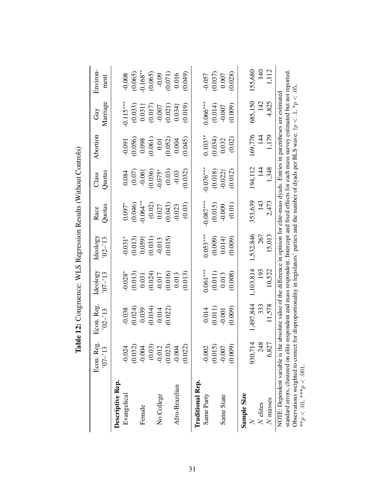<span id="page-31-0"></span>

|                                                                                                                                                                                   | Econ. Reg.<br>$-12$   | Econ. Reg<br>$.02 - 13$                                                                                   | Ideology<br>$-13$ | Ideology<br>$02 - 13$ | Quotas<br>Race | Quotas<br>Class      | Abortion  | Marriage<br>Gay | Environ-<br>ment |
|-----------------------------------------------------------------------------------------------------------------------------------------------------------------------------------|-----------------------|-----------------------------------------------------------------------------------------------------------|-------------------|-----------------------|----------------|----------------------|-----------|-----------------|------------------|
| Descriptive Rep.<br>Evangelical                                                                                                                                                   | $-0.024$              | $-0.038$                                                                                                  | $-0.028*$         | $-0.031*$             | $0.097*$       | 0.084                | 0.091     | $0.115***$      | $-0.008$         |
|                                                                                                                                                                                   | $(0.032)$<br>$-0.004$ | (0.024)                                                                                                   | (0.013)           | (0.013)               | (0.046)        | (0.07)               | (0.056)   | (0.033)         | (0.065)          |
| Female                                                                                                                                                                            |                       | 0.039                                                                                                     | 0.031             | $0.059\dagger$        | $0.064**$      | $-0.06$ <sup>+</sup> | 0.098     | $0.031 -$       | $-0.168**$       |
|                                                                                                                                                                                   | $(0.03)$<br>$-0.012$  | (0.034)                                                                                                   | (0.024)           | (0.031)               | (0.02)         | (0.036)              | (0.061)   | (0.017)         | (0.065)          |
| No College                                                                                                                                                                        |                       | 0.014                                                                                                     | $-0.017$          | $-0.013$              | 0.027          | $-0.075*$            | 0.01      | $-0.007$        | $-0.09$          |
|                                                                                                                                                                                   | $(0.023)$<br>$-0.004$ | (0.022)                                                                                                   | (0.016)           | (0.015)               | (0.043)        | (0.03)               | (0.052)   | (0.021)         | (0.071)          |
| Afro-Brazilian                                                                                                                                                                    |                       |                                                                                                           | 0.013             |                       | $-0.023$       | $-0.03$              | 0.004     | $0.034\dagger$  | 0.016            |
|                                                                                                                                                                                   | (0.022)               |                                                                                                           | (0.013)           |                       | (0.03)         | (0.032)              | (0.045)   | (0.019)         | (640)            |
| <b>Traditional Rep.</b>                                                                                                                                                           |                       |                                                                                                           |                   |                       |                |                      |           |                 |                  |
| Same Party                                                                                                                                                                        | $-0.002$              | 0.014                                                                                                     | $0.061***$        | $0.053***$            | $0.087***$     | $-0.076***$          | $0.103**$ | $0.066***$      | $-0.057$         |
|                                                                                                                                                                                   | (0.015)               | (0.011)                                                                                                   | (0.011)           | (0.009)               | (0.015)        | (0.018)              | (0.034)   | (0.014)         | (0.037)          |
| Same State                                                                                                                                                                        | $-0.007$              | $-0.001$                                                                                                  | 0.013             | $0.014\dagger$        | $-0.009$       | $-0.022\dagger$      | 0.032     | $-0.007$        | 0.007            |
|                                                                                                                                                                                   | (0.009)               | (0.009)                                                                                                   | (0.008)           | (0.009)               | (0.01)         | (0.012)              | (0.02)    | (0.009)         | (0.028)          |
| Sample Size                                                                                                                                                                       |                       |                                                                                                           |                   |                       |                |                      |           |                 |                  |
|                                                                                                                                                                                   | 930,714               | 1,497,844                                                                                                 | 1,103,814         | 1,532,846             | 353,639        | 194,112              | 169,776   | 685,150         | 155,680          |
| $N$ elites                                                                                                                                                                        | 248                   | 333                                                                                                       | 193               | 267                   | 143            | $\frac{14}{5}$       | 144       | 142             | $\frac{140}{5}$  |
| $N$ masses                                                                                                                                                                        | 6,827                 | 11,578                                                                                                    | 10,522            | 15,013                | 2,473          | 1,348                | 1,179     | 4,825           | 1,112            |
| standard errors, clustered on elite respondent and mass respondent. Intercept and fixed effects for each mass survey estimated but not reported<br>NOTE: Dependent variable is th |                       | he absolute value of the difference in opinion for elite-mass dyads. Entries in parentheses are estimated |                   |                       |                |                      |           |                 |                  |
| Observations weighted to correct for disproportionality in legislators' parties and the number of dyads per BLS wave. $tp < 1$ , $\gamma_p < 0.5$ ,                               |                       |                                                                                                           |                   |                       |                |                      |           |                 |                  |
| ** $p < .01,$ *** $p < .001$ .                                                                                                                                                    |                       |                                                                                                           |                   |                       |                |                      |           |                 |                  |

Table 12: Congruence: WLS Regression Results (Without Controls) Table 12: Congruence: WLS Regression Results (Without Controls)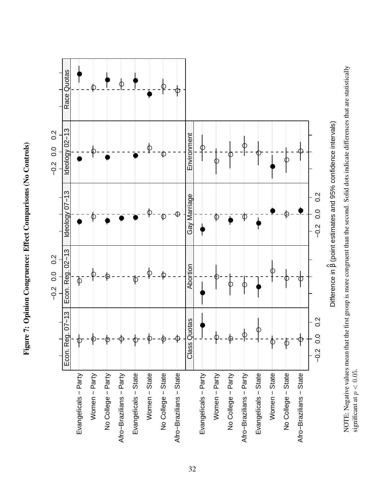Figure 7: Opinion Congruence: Effect Comparisons (No Controls) Figure 7: Opinion Congruence: Effect Comparisons (No Controls)

<span id="page-32-0"></span>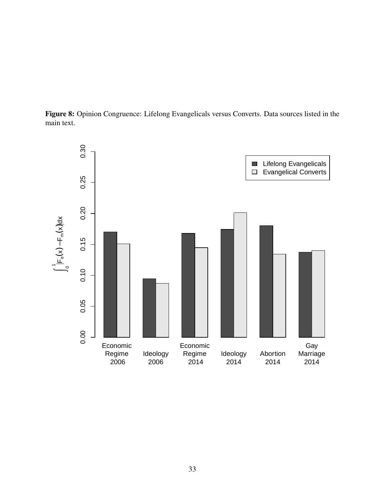<span id="page-33-0"></span>Figure 8: Opinion Congruence: Lifelong Evangelicals versus Converts. Data sources listed in the main text.

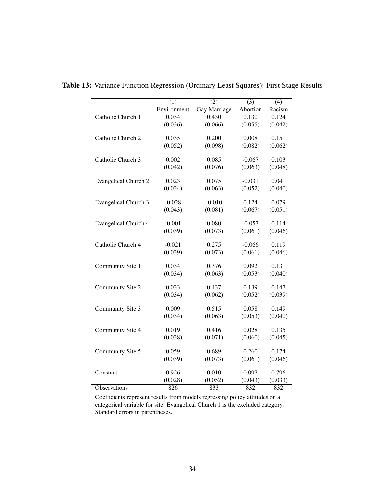|                             | (1)         | (2)          | $\overline{(3)}$ | (4)     |
|-----------------------------|-------------|--------------|------------------|---------|
|                             | Environment | Gay Marriage | Abortion         | Racism  |
| Catholic Church 1           | 0.034       | 0.430        | 0.130            | 0.124   |
|                             | (0.036)     | (0.066)      | (0.055)          | (0.042) |
| Catholic Church 2           | 0.035       | 0.200        | 0.008            | 0.151   |
|                             | (0.052)     | (0.098)      | (0.082)          | (0.062) |
|                             |             |              |                  |         |
| Catholic Church 3           | 0.002       | 0.085        | $-0.067$         | 0.103   |
|                             | (0.042)     | (0.076)      | (0.063)          | (0.048) |
|                             |             |              |                  |         |
| <b>Evangelical Church 2</b> | 0.023       | 0.075        | $-0.031$         | 0.041   |
|                             | (0.034)     | (0.063)      | (0.052)          | (0.040) |
| Evangelical Church 3        | $-0.028$    | $-0.010$     | 0.124            | 0.079   |
|                             | (0.043)     | (0.081)      | (0.067)          | (0.051) |
|                             |             |              |                  |         |
| <b>Evangelical Church 4</b> | $-0.001$    | 0.080        | $-0.057$         | 0.114   |
|                             | (0.039)     | (0.073)      | (0.061)          | (0.046) |
| Catholic Church 4           | $-0.021$    | 0.275        | $-0.066$         | 0.119   |
|                             | (0.039)     | (0.073)      | (0.061)          | (0.046) |
|                             |             |              |                  |         |
| Community Site 1            | 0.034       | 0.376        | 0.092            | 0.131   |
|                             | (0.034)     | (0.063)      | (0.053)          | (0.040) |
|                             |             |              |                  |         |
| Community Site 2            | 0.033       | 0.437        | 0.139            | 0.147   |
|                             | (0.034)     | (0.062)      | (0.052)          | (0.039) |
| Community Site 3            | 0.009       | 0.515        | 0.058            | 0.149   |
|                             | (0.034)     | (0.063)      | (0.053)          | (0.040) |
|                             |             |              |                  |         |
| Community Site 4            | 0.019       | 0.416        | 0.028            | 0.135   |
|                             | (0.038)     | (0.071)      | (0.060)          | (0.045) |
| Community Site 5            | 0.059       | 0.689        | 0.260            | 0.174   |
|                             | (0.039)     | (0.073)      | (0.061)          | (0.046) |
|                             |             |              |                  |         |
| Constant                    | 0.926       | 0.010        | 0.097            | 0.796   |
|                             | (0.028)     | (0.052)      | (0.043)          | (0.033) |
| Observations                | 826         | 833          | 832              | 832     |

<span id="page-34-0"></span>Table 13: Variance Function Regression (Ordinary Least Squares): First Stage Results

Coefficients represent results from models regressing policy attitudes on a categorical variable for site. Evangelical Church 1 is the excluded category. Standard errors in parentheses.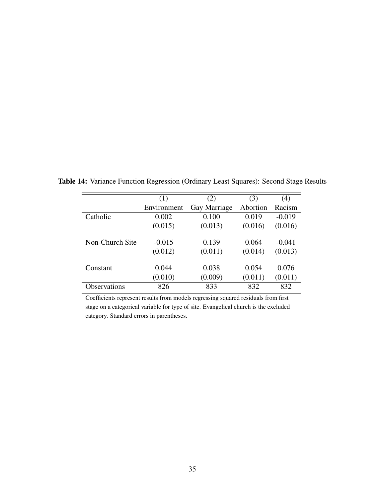|                 | (1)         | (2)          | (3)      | (4)      |
|-----------------|-------------|--------------|----------|----------|
|                 | Environment | Gay Marriage | Abortion | Racism   |
| Catholic        | 0.002       | 0.100        | 0.019    | $-0.019$ |
|                 | (0.015)     | (0.013)      | (0.016)  | (0.016)  |
| Non-Church Site | $-0.015$    | 0.139        | 0.064    | $-0.041$ |
|                 | (0.012)     | (0.011)      | (0.014)  | (0.013)  |
| Constant        | 0.044       | 0.038        | 0.054    | 0.076    |
|                 | (0.010)     | (0.009)      | (0.011)  | (0.011)  |
| Observations    | 826         | 833          | 832      | 832      |

<span id="page-35-0"></span>Table 14: Variance Function Regression (Ordinary Least Squares): Second Stage Results

Coefficients represent results from models regressing squared residuals from first stage on a categorical variable for type of site. Evangelical church is the excluded category. Standard errors in parentheses.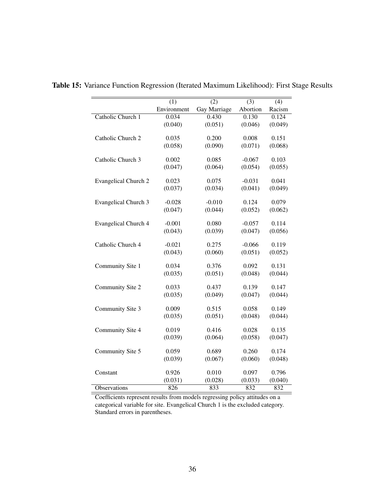|                             | (1)         | (2)          | (3)      | (4)     |
|-----------------------------|-------------|--------------|----------|---------|
|                             | Environment | Gay Marriage | Abortion | Racism  |
| Catholic Church 1           | 0.034       | 0.430        | 0.130    | 0.124   |
|                             | (0.040)     | (0.051)      | (0.046)  | (0.049) |
|                             |             |              |          |         |
| Catholic Church 2           | 0.035       | 0.200        | 0.008    | 0.151   |
|                             | (0.058)     | (0.090)      | (0.071)  | (0.068) |
| Catholic Church 3           | 0.002       | 0.085        | $-0.067$ | 0.103   |
|                             | (0.047)     | (0.064)      | (0.054)  | (0.055) |
|                             |             |              |          |         |
| <b>Evangelical Church 2</b> | 0.023       | 0.075        | $-0.031$ | 0.041   |
|                             | (0.037)     | (0.034)      | (0.041)  | (0.049) |
|                             |             |              |          |         |
| Evangelical Church 3        | $-0.028$    | $-0.010$     | 0.124    | 0.079   |
|                             | (0.047)     | (0.044)      | (0.052)  | (0.062) |
| <b>Evangelical Church 4</b> | $-0.001$    | 0.080        | $-0.057$ | 0.114   |
|                             | (0.043)     | (0.039)      | (0.047)  | (0.056) |
|                             |             |              |          |         |
| Catholic Church 4           | $-0.021$    | 0.275        | $-0.066$ | 0.119   |
|                             | (0.043)     | (0.060)      | (0.051)  | (0.052) |
|                             |             |              |          |         |
| Community Site 1            | 0.034       | 0.376        | 0.092    | 0.131   |
|                             | (0.035)     | (0.051)      | (0.048)  | (0.044) |
| Community Site 2            | 0.033       | 0.437        | 0.139    | 0.147   |
|                             | (0.035)     | (0.049)      | (0.047)  | (0.044) |
|                             |             |              |          |         |
| Community Site 3            | 0.009       | 0.515        | 0.058    | 0.149   |
|                             | (0.035)     | (0.051)      | (0.048)  | (0.044) |
|                             |             |              |          |         |
| Community Site 4            | 0.019       | 0.416        | 0.028    | 0.135   |
|                             | (0.039)     | (0.064)      | (0.058)  | (0.047) |
| Community Site 5            | 0.059       | 0.689        | 0.260    | 0.174   |
|                             | (0.039)     | (0.067)      | (0.060)  | (0.048) |
|                             |             |              |          |         |
| Constant                    | 0.926       | 0.010        | 0.097    | 0.796   |
|                             | (0.031)     | (0.028)      | (0.033)  | (0.040) |
| Observations                | 826         | 833          | 832      | 832     |

<span id="page-36-0"></span>Table 15: Variance Function Regression (Iterated Maximum Likelihood): First Stage Results

Coefficients represent results from models regressing policy attitudes on a categorical variable for site. Evangelical Church 1 is the excluded category. Standard errors in parentheses.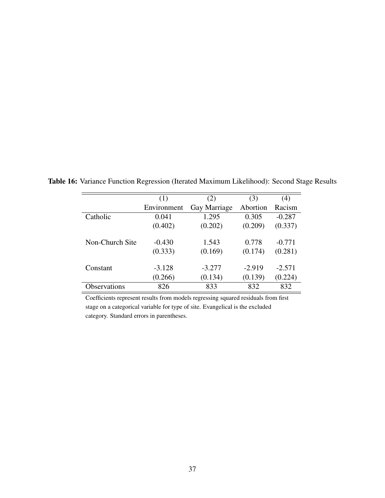|                 | (1)         | (2)          | (3)      | (4)      |
|-----------------|-------------|--------------|----------|----------|
|                 | Environment | Gay Marriage | Abortion | Racism   |
| Catholic        | 0.041       | 1.295        | 0.305    | $-0.287$ |
|                 | (0.402)     | (0.202)      | (0.209)  | (0.337)  |
| Non-Church Site | $-0.430$    | 1.543        | 0.778    | $-0.771$ |
|                 | (0.333)     | (0.169)      | (0.174)  | (0.281)  |
| Constant        | $-3.128$    | $-3.277$     | $-2.919$ | $-2.571$ |
|                 | (0.266)     | (0.134)      | (0.139)  | (0.224)  |
| Observations    | 826         | 833          | 832      | 832      |

<span id="page-37-0"></span>Table 16: Variance Function Regression (Iterated Maximum Likelihood): Second Stage Results

Coefficients represent results from models regressing squared residuals from first stage on a categorical variable for type of site. Evangelical is the excluded category. Standard errors in parentheses.